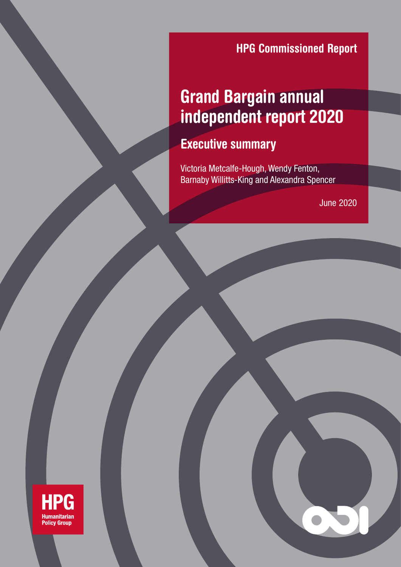**HPG Commissioned Report** 

# **Title** Grand Bargain annual independent report 2020 **HPG Commissioned Report<br><b>Argain annual<br>Jent report 2020**<br>Ummary<br>P-Hough, Wendy Fenton,<br>King and Alexandra Spencer<br>June 2020

#### **LAUDULI** Executive summary

Barnaby Willitts-King and Alexandra Spencer Victoria Metcalfe-Hough, Wendy Fenton,

**June 2020** 

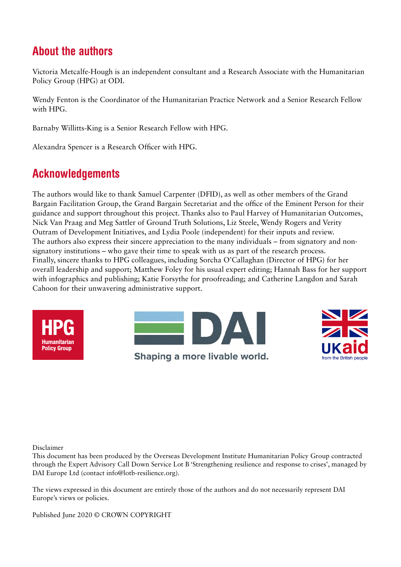# About the authors

Victoria Metcalfe-Hough is an independent consultant and a Research Associate with the Humanitarian Policy Group (HPG) at ODI.

Wendy Fenton is the Coordinator of the Humanitarian Practice Network and a Senior Research Fellow with HPG.

Barnaby Willitts-King is a Senior Research Fellow with HPG.

Alexandra Spencer is a Research Officer with HPG.

### Acknowledgements

The authors would like to thank Samuel Carpenter (DFID), as well as other members of the Grand Bargain Facilitation Group, the Grand Bargain Secretariat and the office of the Eminent Person for their guidance and support throughout this project. Thanks also to Paul Harvey of Humanitarian Outcomes, Nick Van Praag and Meg Sattler of Ground Truth Solutions, Liz Steele, Wendy Rogers and Verity Outram of Development Initiatives, and Lydia Poole (independent) for their inputs and review. The authors also express their sincere appreciation to the many individuals – from signatory and nonsignatory institutions – who gave their time to speak with us as part of the research process. Finally, sincere thanks to HPG colleagues, including Sorcha O'Callaghan (Director of HPG) for her overall leadership and support; Matthew Foley for his usual expert editing; Hannah Bass for her support with infographics and publishing; Katie Forsythe for proofreading; and Catherine Langdon and Sarah Cahoon for their unwavering administrative support.







Disclaimer

This document has been produced by the Overseas Development Institute Humanitarian Policy Group contracted through the Expert Advisory Call Down Service Lot B 'Strengthening resilience and response to crises', managed by DAI Europe Ltd (contact info@lotb-resilience.org).

The views expressed in this document are entirely those of the authors and do not necessarily represent DAI Europe's views or policies.

Published June 2020 © CROWN COPYRIGHT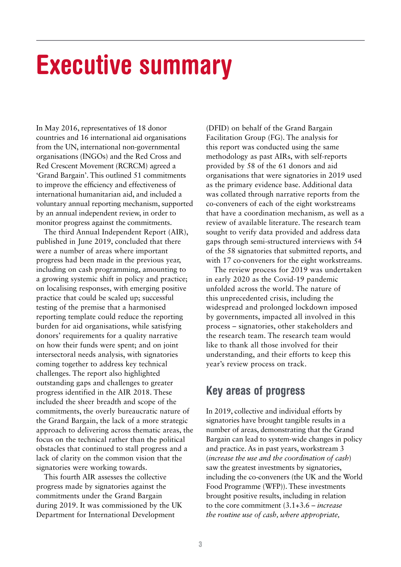# Executive summary

In May 2016, representatives of 18 donor countries and 16 international aid organisations from the UN, international non-governmental organisations (INGOs) and the Red Cross and Red Crescent Movement (RCRCM) agreed a 'Grand Bargain'. This outlined 51 commitments to improve the efficiency and effectiveness of international humanitarian aid, and included a voluntary annual reporting mechanism, supported by an annual independent review, in order to monitor progress against the commitments.

The third Annual Independent Report (AIR), published in June 2019, concluded that there were a number of areas where important progress had been made in the previous year, including on cash programming, amounting to a growing systemic shift in policy and practice; on localising responses, with emerging positive practice that could be scaled up; successful testing of the premise that a harmonised reporting template could reduce the reporting burden for aid organisations, while satisfying donors' requirements for a quality narrative on how their funds were spent; and on joint intersectoral needs analysis, with signatories coming together to address key technical challenges. The report also highlighted outstanding gaps and challenges to greater progress identified in the AIR 2018. These included the sheer breadth and scope of the commitments, the overly bureaucratic nature of the Grand Bargain, the lack of a more strategic approach to delivering across thematic areas, the focus on the technical rather than the political obstacles that continued to stall progress and a lack of clarity on the common vision that the signatories were working towards.

This fourth AIR assesses the collective progress made by signatories against the commitments under the Grand Bargain during 2019. It was commissioned by the UK Department for International Development

(DFID) on behalf of the Grand Bargain Facilitation Group (FG). The analysis for this report was conducted using the same methodology as past AIRs, with self-reports provided by 58 of the 61 donors and aid organisations that were signatories in 2019 used as the primary evidence base. Additional data was collated through narrative reports from the co-conveners of each of the eight workstreams that have a coordination mechanism, as well as a review of available literature. The research team sought to verify data provided and address data gaps through semi-structured interviews with 54 of the 58 signatories that submitted reports, and with 17 co-conveners for the eight workstreams.

The review process for 2019 was undertaken in early 2020 as the Covid-19 pandemic unfolded across the world. The nature of this unprecedented crisis, including the widespread and prolonged lockdown imposed by governments, impacted all involved in this process – signatories, other stakeholders and the research team. The research team would like to thank all those involved for their understanding, and their efforts to keep this year's review process on track.

### Key areas of progress

In 2019, collective and individual efforts by signatories have brought tangible results in a number of areas, demonstrating that the Grand Bargain can lead to system-wide changes in policy and practice. As in past years, workstream 3 (*increase the use and the coordination of cash*) saw the greatest investments by signatories, including the co-conveners (the UK and the World Food Programme (WFP)). These investments brought positive results, including in relation to the core commitment (3.1+3.6 – *increase the routine use of cash, where appropriate,*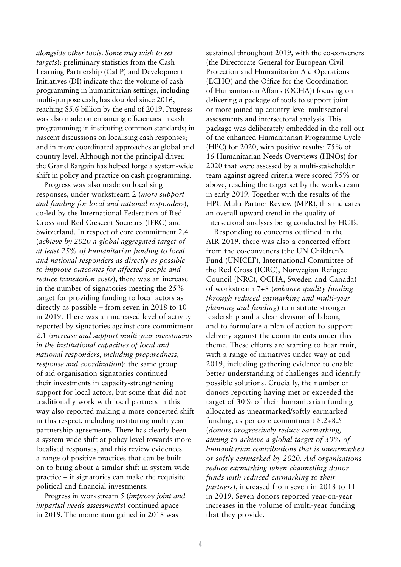*alongside other tools. Some may wish to set targets*): preliminary statistics from the Cash Learning Partnership (CaLP) and Development Initiatives (DI) indicate that the volume of cash programming in humanitarian settings, including multi-purpose cash, has doubled since 2016, reaching \$5.6 billion by the end of 2019. Progress was also made on enhancing efficiencies in cash programming; in instituting common standards; in nascent discussions on localising cash responses; and in more coordinated approaches at global and country level. Although not the principal driver, the Grand Bargain has helped forge a system-wide shift in policy and practice on cash programming.

Progress was also made on localising responses, under workstream 2 (*more support and funding for local and national responders*), co-led by the International Federation of Red Cross and Red Crescent Societies (IFRC) and Switzerland. In respect of core commitment 2.4 (*achieve by 2020 a global aggregated target of at least 25% of humanitarian funding to local and national responders as directly as possible to improve outcomes for affected people and reduce transaction costs*), there was an increase in the number of signatories meeting the 25% target for providing funding to local actors as directly as possible – from seven in 2018 to 10 in 2019. There was an increased level of activity reported by signatories against core commitment 2.1 (*increase and support multi-year investments in the institutional capacities of local and national responders, including preparedness, response and coordination*): the same group of aid organisation signatories continued their investments in capacity-strengthening support for local actors, but some that did not traditionally work with local partners in this way also reported making a more concerted shift in this respect, including instituting multi-year partnership agreements. There has clearly been a system-wide shift at policy level towards more localised responses, and this review evidences a range of positive practices that can be built on to bring about a similar shift in system-wide practice – if signatories can make the requisite political and financial investments.

Progress in workstream 5 (*improve joint and impartial needs assessments*) continued apace in 2019. The momentum gained in 2018 was

sustained throughout 2019, with the co-conveners (the Directorate General for European Civil Protection and Humanitarian Aid Operations (ECHO) and the Office for the Coordination of Humanitarian Affairs (OCHA)) focusing on delivering a package of tools to support joint or more joined-up country-level multisectoral assessments and intersectoral analysis. This package was deliberately embedded in the roll-out of the enhanced Humanitarian Programme Cycle (HPC) for 2020, with positive results: 75% of 16 Humanitarian Needs Overviews (HNOs) for 2020 that were assessed by a multi-stakeholder team against agreed criteria were scored 75% or above, reaching the target set by the workstream in early 2019. Together with the results of the HPC Multi-Partner Review (MPR), this indicates an overall upward trend in the quality of intersectoral analyses being conducted by HCTs.

Responding to concerns outlined in the AIR 2019, there was also a concerted effort from the co-conveners (the UN Children's Fund (UNICEF), International Committee of the Red Cross (ICRC), Norwegian Refugee Council (NRC), OCHA, Sweden and Canada) of workstream 7+8 (*enhance quality funding through reduced earmarking and multi-year planning and funding*) to institute stronger leadership and a clear division of labour, and to formulate a plan of action to support delivery against the commitments under this theme. These efforts are starting to bear fruit, with a range of initiatives under way at end-2019, including gathering evidence to enable better understanding of challenges and identify possible solutions. Crucially, the number of donors reporting having met or exceeded the target of 30% of their humanitarian funding allocated as unearmarked/softly earmarked funding, as per core commitment 8.2+8.5 (*donors progressively reduce earmarking, aiming to achieve a global target of 30% of humanitarian contributions that is unearmarked or softly earmarked by 2020. Aid organisations reduce earmarking when channelling donor funds with reduced earmarking to their partners*), increased from seven in 2018 to 11 in 2019. Seven donors reported year-on-year increases in the volume of multi-year funding that they provide.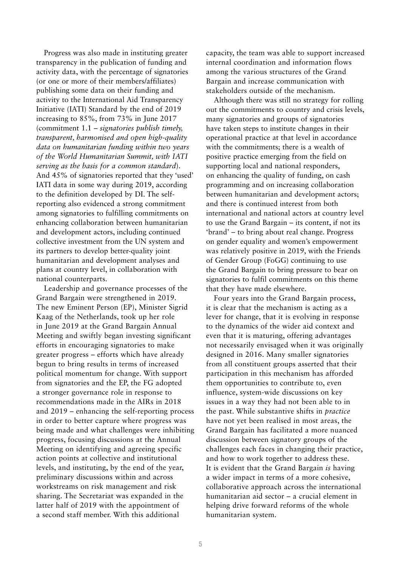Progress was also made in instituting greater transparency in the publication of funding and activity data, with the percentage of signatories (or one or more of their members/affiliates) publishing some data on their funding and activity to the International Aid Transparency Initiative (IATI) Standard by the end of 2019 increasing to 85%, from 73% in June 2017 (commitment 1.1 – *signatories publish timely, transparent, harmonised and open high-quality data on humanitarian funding within two years of the World Humanitarian Summit, with IATI serving as the basis for a common standard*). And 45% of signatories reported that they 'used' IATI data in some way during 2019, according to the definition developed by DI. The selfreporting also evidenced a strong commitment among signatories to fulfilling commitments on enhancing collaboration between humanitarian and development actors, including continued collective investment from the UN system and its partners to develop better-quality joint humanitarian and development analyses and plans at country level, in collaboration with national counterparts.

Leadership and governance processes of the Grand Bargain were strengthened in 2019. The new Eminent Person (EP), Minister Sigrid Kaag of the Netherlands, took up her role in June 2019 at the Grand Bargain Annual Meeting and swiftly began investing significant efforts in encouraging signatories to make greater progress – efforts which have already begun to bring results in terms of increased political momentum for change. With support from signatories and the EP, the FG adopted a stronger governance role in response to recommendations made in the AIRs in 2018 and 2019 – enhancing the self-reporting process in order to better capture where progress was being made and what challenges were inhibiting progress, focusing discussions at the Annual Meeting on identifying and agreeing specific action points at collective and institutional levels, and instituting, by the end of the year, preliminary discussions within and across workstreams on risk management and risk sharing. The Secretariat was expanded in the latter half of 2019 with the appointment of a second staff member. With this additional

capacity, the team was able to support increased internal coordination and information flows among the various structures of the Grand Bargain and increase communication with stakeholders outside of the mechanism.

Although there was still no strategy for rolling out the commitments to country and crisis levels, many signatories and groups of signatories have taken steps to institute changes in their operational practice at that level in accordance with the commitments; there is a wealth of positive practice emerging from the field on supporting local and national responders, on enhancing the quality of funding, on cash programming and on increasing collaboration between humanitarian and development actors; and there is continued interest from both international and national actors at country level to use the Grand Bargain – its content, if not its 'brand' – to bring about real change. Progress on gender equality and women's empowerment was relatively positive in 2019, with the Friends of Gender Group (FoGG) continuing to use the Grand Bargain to bring pressure to bear on signatories to fulfil commitments on this theme that they have made elsewhere.

Four years into the Grand Bargain process, it is clear that the mechanism is acting as a lever for change, that it is evolving in response to the dynamics of the wider aid context and even that it is maturing, offering advantages not necessarily envisaged when it was originally designed in 2016. Many smaller signatories from all constituent groups asserted that their participation in this mechanism has afforded them opportunities to contribute to, even influence, system-wide discussions on key issues in a way they had not been able to in the past. While substantive shifts in *practice* have not yet been realised in most areas, the Grand Bargain has facilitated a more nuanced discussion between signatory groups of the challenges each faces in changing their practice, and how to work together to address these. It is evident that the Grand Bargain *is* having a wider impact in terms of a more cohesive, collaborative approach across the international humanitarian aid sector – a crucial element in helping drive forward reforms of the whole humanitarian system.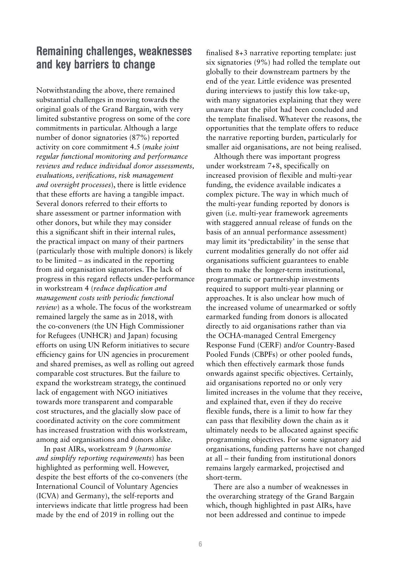### Remaining challenges, weaknesses and key barriers to change

Notwithstanding the above, there remained substantial challenges in moving towards the original goals of the Grand Bargain, with very limited substantive progress on some of the core commitments in particular. Although a large number of donor signatories (87%) reported activity on core commitment 4.5 (*make joint regular functional monitoring and performance reviews and reduce individual donor assessments, evaluations, verifications, risk management and oversight processes*), there is little evidence that these efforts are having a tangible impact. Several donors referred to their efforts to share assessment or partner information with other donors, but while they may consider this a significant shift in their internal rules, the practical impact on many of their partners (particularly those with multiple donors) is likely to be limited – as indicated in the reporting from aid organisation signatories. The lack of progress in this regard reflects under-performance in workstream 4 (*reduce duplication and management costs with periodic functional review*) as a whole. The focus of the workstream remained largely the same as in 2018, with the co-conveners (the UN High Commissioner for Refugees (UNHCR) and Japan) focusing efforts on using UN Reform initiatives to secure efficiency gains for UN agencies in procurement and shared premises, as well as rolling out agreed comparable cost structures. But the failure to expand the workstream strategy, the continued lack of engagement with NGO initiatives towards more transparent and comparable cost structures, and the glacially slow pace of coordinated activity on the core commitment has increased frustration with this workstream, among aid organisations and donors alike.

In past AIRs, workstream 9 (*harmonise and simplify reporting requirements*) has been highlighted as performing well. However, despite the best efforts of the co-conveners (the International Council of Voluntary Agencies (ICVA) and Germany), the self-reports and interviews indicate that little progress had been made by the end of 2019 in rolling out the

finalised 8+3 narrative reporting template: just six signatories (9%) had rolled the template out globally to their downstream partners by the end of the year. Little evidence was presented during interviews to justify this low take-up, with many signatories explaining that they were unaware that the pilot had been concluded and the template finalised. Whatever the reasons, the opportunities that the template offers to reduce the narrative reporting burden, particularly for smaller aid organisations, are not being realised.

Although there was important progress under workstream 7+8, specifically on increased provision of flexible and multi-year funding, the evidence available indicates a complex picture. The way in which much of the multi-year funding reported by donors is given (i.e. multi-year framework agreements with staggered annual release of funds on the basis of an annual performance assessment) may limit its 'predictability' in the sense that current modalities generally do not offer aid organisations sufficient guarantees to enable them to make the longer-term institutional, programmatic or partnership investments required to support multi-year planning or approaches. It is also unclear how much of the increased volume of unearmarked or softly earmarked funding from donors is allocated directly to aid organisations rather than via the OCHA-managed Central Emergency Response Fund (CERF) and/or Country-Based Pooled Funds (CBPFs) or other pooled funds, which then effectively earmark those funds onwards against specific objectives. Certainly, aid organisations reported no or only very limited increases in the volume that they receive, and explained that, even if they do receive flexible funds, there is a limit to how far they can pass that flexibility down the chain as it ultimately needs to be allocated against specific programming objectives. For some signatory aid organisations, funding patterns have not changed at all – their funding from institutional donors remains largely earmarked, projectised and short-term.

There are also a number of weaknesses in the overarching strategy of the Grand Bargain which, though highlighted in past AIRs, have not been addressed and continue to impede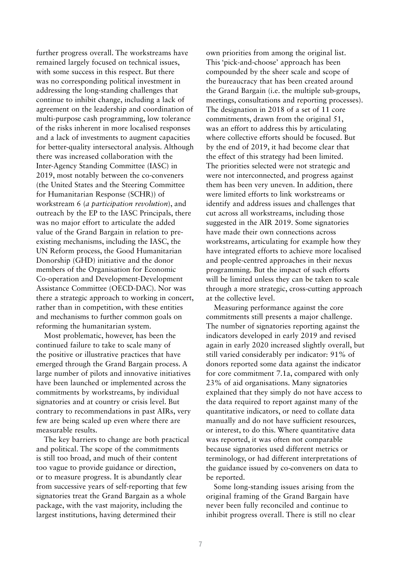further progress overall. The workstreams have remained largely focused on technical issues, with some success in this respect. But there was no corresponding political investment in addressing the long-standing challenges that continue to inhibit change, including a lack of agreement on the leadership and coordination of multi-purpose cash programming, low tolerance of the risks inherent in more localised responses and a lack of investments to augment capacities for better-quality intersectoral analysis. Although there was increased collaboration with the Inter-Agency Standing Committee (IASC) in 2019, most notably between the co-conveners (the United States and the Steering Committee for Humanitarian Response (SCHR)) of workstream 6 (*a participation revolution*), and outreach by the EP to the IASC Principals, there was no major effort to articulate the added value of the Grand Bargain in relation to preexisting mechanisms, including the IASC, the UN Reform process, the Good Humanitarian Donorship (GHD) initiative and the donor members of the Organisation for Economic Co-operation and Development-Development Assistance Committee (OECD-DAC). Nor was there a strategic approach to working in concert, rather than in competition, with these entities and mechanisms to further common goals on reforming the humanitarian system.

Most problematic, however, has been the continued failure to take to scale many of the positive or illustrative practices that have emerged through the Grand Bargain process. A large number of pilots and innovative initiatives have been launched or implemented across the commitments by workstreams, by individual signatories and at country or crisis level. But contrary to recommendations in past AIRs, very few are being scaled up even where there are measurable results.

The key barriers to change are both practical and political. The scope of the commitments is still too broad, and much of their content too vague to provide guidance or direction, or to measure progress. It is abundantly clear from successive years of self-reporting that few signatories treat the Grand Bargain as a whole package, with the vast majority, including the largest institutions, having determined their

own priorities from among the original list. This 'pick-and-choose' approach has been compounded by the sheer scale and scope of the bureaucracy that has been created around the Grand Bargain (i.e. the multiple sub-groups, meetings, consultations and reporting processes). The designation in 2018 of a set of 11 core commitments, drawn from the original 51, was an effort to address this by articulating where collective efforts should be focused. But by the end of 2019, it had become clear that the effect of this strategy had been limited. The priorities selected were not strategic and were not interconnected, and progress against them has been very uneven. In addition, there were limited efforts to link workstreams or identify and address issues and challenges that cut across all workstreams, including those suggested in the AIR 2019. Some signatories have made their own connections across workstreams, articulating for example how they have integrated efforts to achieve more localised and people-centred approaches in their nexus programming. But the impact of such efforts will be limited unless they can be taken to scale through a more strategic, cross-cutting approach at the collective level.

Measuring performance against the core commitments still presents a major challenge. The number of signatories reporting against the indicators developed in early 2019 and revised again in early 2020 increased slightly overall, but still varied considerably per indicator: 91% of donors reported some data against the indicator for core commitment 7.1a, compared with only 23% of aid organisations. Many signatories explained that they simply do not have access to the data required to report against many of the quantitative indicators, or need to collate data manually and do not have sufficient resources, or interest, to do this. Where quantitative data was reported, it was often not comparable because signatories used different metrics or terminology, or had different interpretations of the guidance issued by co-conveners on data to be reported.

Some long-standing issues arising from the original framing of the Grand Bargain have never been fully reconciled and continue to inhibit progress overall. There is still no clear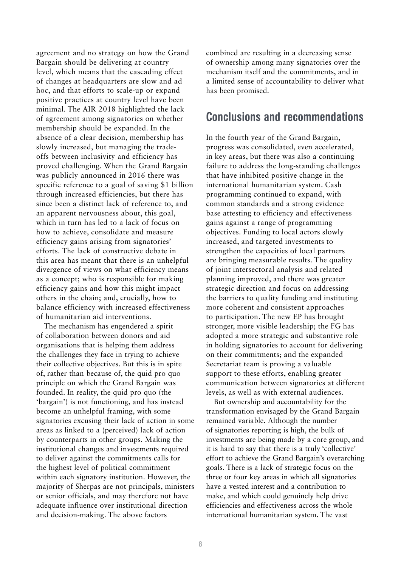agreement and no strategy on how the Grand Bargain should be delivering at country level, which means that the cascading effect of changes at headquarters are slow and ad hoc, and that efforts to scale-up or expand positive practices at country level have been minimal. The AIR 2018 highlighted the lack of agreement among signatories on whether membership should be expanded. In the absence of a clear decision, membership has slowly increased, but managing the tradeoffs between inclusivity and efficiency has proved challenging. When the Grand Bargain was publicly announced in 2016 there was specific reference to a goal of saving \$1 billion through increased efficiencies, but there has since been a distinct lack of reference to, and an apparent nervousness about, this goal, which in turn has led to a lack of focus on how to achieve, consolidate and measure efficiency gains arising from signatories' efforts. The lack of constructive debate in this area has meant that there is an unhelpful divergence of views on what efficiency means as a concept; who is responsible for making efficiency gains and how this might impact others in the chain; and, crucially, how to balance efficiency with increased effectiveness of humanitarian aid interventions.

The mechanism has engendered a spirit of collaboration between donors and aid organisations that is helping them address the challenges they face in trying to achieve their collective objectives. But this is in spite of, rather than because of, the quid pro quo principle on which the Grand Bargain was founded. In reality, the quid pro quo (the 'bargain') is not functioning, and has instead become an unhelpful framing, with some signatories excusing their lack of action in some areas as linked to a (perceived) lack of action by counterparts in other groups. Making the institutional changes and investments required to deliver against the commitments calls for the highest level of political commitment within each signatory institution. However, the majority of Sherpas are not principals, ministers or senior officials, and may therefore not have adequate influence over institutional direction and decision-making. The above factors

combined are resulting in a decreasing sense of ownership among many signatories over the mechanism itself and the commitments, and in a limited sense of accountability to deliver what has been promised.

#### Conclusions and recommendations

In the fourth year of the Grand Bargain, progress was consolidated, even accelerated, in key areas, but there was also a continuing failure to address the long-standing challenges that have inhibited positive change in the international humanitarian system. Cash programming continued to expand, with common standards and a strong evidence base attesting to efficiency and effectiveness gains against a range of programming objectives. Funding to local actors slowly increased, and targeted investments to strengthen the capacities of local partners are bringing measurable results. The quality of joint intersectoral analysis and related planning improved, and there was greater strategic direction and focus on addressing the barriers to quality funding and instituting more coherent and consistent approaches to participation. The new EP has brought stronger, more visible leadership; the FG has adopted a more strategic and substantive role in holding signatories to account for delivering on their commitments; and the expanded Secretariat team is proving a valuable support to these efforts, enabling greater communication between signatories at different levels, as well as with external audiences.

But ownership and accountability for the transformation envisaged by the Grand Bargain remained variable. Although the number of signatories reporting is high, the bulk of investments are being made by a core group, and it is hard to say that there is a truly 'collective' effort to achieve the Grand Bargain's overarching goals. There is a lack of strategic focus on the three or four key areas in which all signatories have a vested interest and a contribution to make, and which could genuinely help drive efficiencies and effectiveness across the whole international humanitarian system. The vast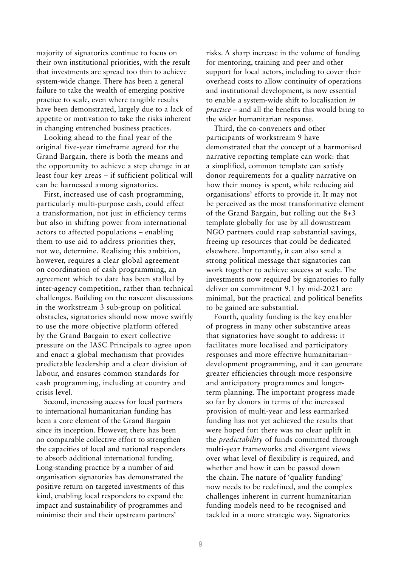majority of signatories continue to focus on their own institutional priorities, with the result that investments are spread too thin to achieve system-wide change. There has been a general failure to take the wealth of emerging positive practice to scale, even where tangible results have been demonstrated, largely due to a lack of appetite or motivation to take the risks inherent in changing entrenched business practices.

Looking ahead to the final year of the original five-year timeframe agreed for the Grand Bargain, there is both the means and the opportunity to achieve a step change in at least four key areas – if sufficient political will can be harnessed among signatories.

First, increased use of cash programming, particularly multi-purpose cash, could effect a transformation, not just in efficiency terms but also in shifting power from international actors to affected populations – enabling them to use aid to address priorities they, not we, determine. Realising this ambition, however, requires a clear global agreement on coordination of cash programming, an agreement which to date has been stalled by inter-agency competition, rather than technical challenges. Building on the nascent discussions in the workstream 3 sub-group on political obstacles, signatories should now move swiftly to use the more objective platform offered by the Grand Bargain to exert collective pressure on the IASC Principals to agree upon and enact a global mechanism that provides predictable leadership and a clear division of labour, and ensures common standards for cash programming, including at country and crisis level.

Second, increasing access for local partners to international humanitarian funding has been a core element of the Grand Bargain since its inception. However, there has been no comparable collective effort to strengthen the capacities of local and national responders to absorb additional international funding. Long-standing practice by a number of aid organisation signatories has demonstrated the positive return on targeted investments of this kind, enabling local responders to expand the impact and sustainability of programmes and minimise their and their upstream partners'

risks. A sharp increase in the volume of funding for mentoring, training and peer and other support for local actors, including to cover their overhead costs to allow continuity of operations and institutional development, is now essential to enable a system-wide shift to localisation *in practice* – and all the benefits this would bring to the wider humanitarian response.

Third, the co-conveners and other participants of workstream 9 have demonstrated that the concept of a harmonised narrative reporting template can work: that a simplified, common template can satisfy donor requirements for a quality narrative on how their money is spent, while reducing aid organisations' efforts to provide it. It may not be perceived as the most transformative element of the Grand Bargain, but rolling out the 8+3 template globally for use by all downstream NGO partners could reap substantial savings, freeing up resources that could be dedicated elsewhere. Importantly, it can also send a strong political message that signatories can work together to achieve success at scale. The investments now required by signatories to fully deliver on commitment 9.1 by mid-2021 are minimal, but the practical and political benefits to be gained are substantial.

Fourth, quality funding is the key enabler of progress in many other substantive areas that signatories have sought to address: it facilitates more localised and participatory responses and more effective humanitarian– development programming, and it can generate greater efficiencies through more responsive and anticipatory programmes and longerterm planning. The important progress made so far by donors in terms of the increased provision of multi-year and less earmarked funding has not yet achieved the results that were hoped for: there was no clear uplift in the *predictability* of funds committed through multi-year frameworks and divergent views over what level of flexibility is required, and whether and how it can be passed down the chain. The nature of 'quality funding' now needs to be redefined, and the complex challenges inherent in current humanitarian funding models need to be recognised and tackled in a more strategic way. Signatories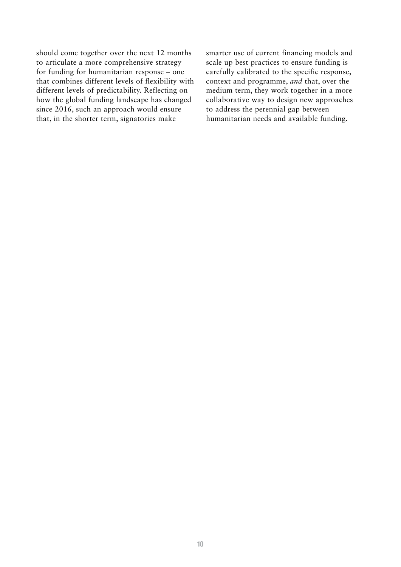should come together over the next 12 months to articulate a more comprehensive strategy for funding for humanitarian response – one that combines different levels of flexibility with different levels of predictability. Reflecting on how the global funding landscape has changed since 2016, such an approach would ensure that, in the shorter term, signatories make

smarter use of current financing models and scale up best practices to ensure funding is carefully calibrated to the specific response, context and programme, *and* that, over the medium term, they work together in a more collaborative way to design new approaches to address the perennial gap between humanitarian needs and available funding.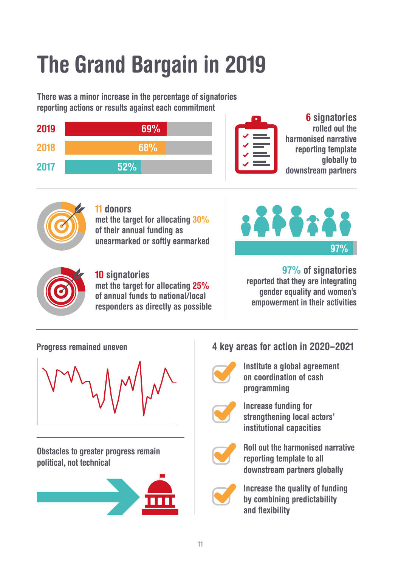# The Grand Bargain in 2019

There was a minor increase in the percentage of signatories reporting actions or results against each commitment

| 2019 | 69% | $\bullet$ |
|------|-----|-----------|
| 2018 | 68% |           |
| 2017 | 52% |           |

6 signatories rolled out the harmonised narrative reporting template globally to downstream partners



11 donors met the target for allocating 30% of their annual funding as unearmarked or softly earmarked





#### 10 signatories

met the target for allocating 25% of annual funds to national/local responders as directly as possible

97% of signatories reported that they are integrating gender equality and women's empowerment in their activities

Progress remained uneven



Obstacles to greater progress remain political, not technical



# 4 key areas for action in 2020–2021



Institute a global agreement on coordination of cash programming



Increase funding for strengthening local actors' institutional capacities



Roll out the harmonised narrative reporting template to all downstream partners globally



Increase the quality of funding by combining predictability and flexibility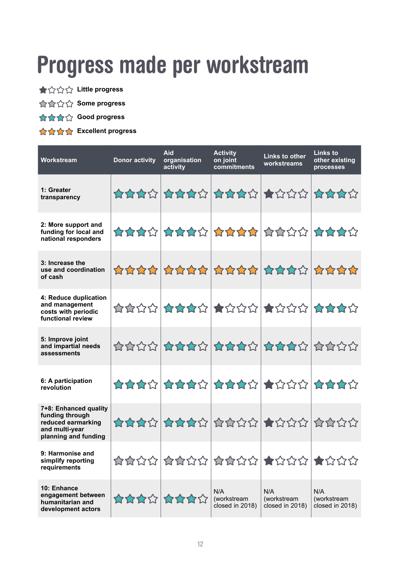# Progress made per workstream

- **★☆☆☆ Little progress**
- **Some progress**
- **Good progress**
- **Excellent progress**

| Workstream                                                                                               | <b>Donor activity</b> | Aid<br>organisation<br>activity                                                                                                                                                                                                                                                                                                                                                                                                                                                                     | <b>Activity</b><br>on joint<br>commitments | Links to other<br>workstreams         | Links to<br>other existing<br>processes |
|----------------------------------------------------------------------------------------------------------|-----------------------|-----------------------------------------------------------------------------------------------------------------------------------------------------------------------------------------------------------------------------------------------------------------------------------------------------------------------------------------------------------------------------------------------------------------------------------------------------------------------------------------------------|--------------------------------------------|---------------------------------------|-----------------------------------------|
| 1: Greater<br>transparency                                                                               |                       | ☆☆☆☆ ☆☆☆☆ ☆☆☆☆ ★☆☆☆ ☆☆☆☆                                                                                                                                                                                                                                                                                                                                                                                                                                                                            |                                            |                                       |                                         |
| 2: More support and<br>funding for local and<br>national responders                                      |                       | ********************                                                                                                                                                                                                                                                                                                                                                                                                                                                                                |                                            |                                       |                                         |
| 3: Increase the<br>use and coordination<br>of cash                                                       |                       | 自立立立 自立立立 自立立立 自立立立立立立                                                                                                                                                                                                                                                                                                                                                                                                                                                                              |                                            |                                       |                                         |
| 4: Reduce duplication<br>and management<br>costs with periodic<br>functional review                      |                       | ☆☆☆☆ ☆☆☆☆ ★☆☆☆ ★☆☆☆ ☆☆☆☆                                                                                                                                                                                                                                                                                                                                                                                                                                                                            |                                            |                                       |                                         |
| 5: Improve joint<br>and impartial needs<br>assessments                                                   |                       | $\hat{H}^{\alpha}_{\alpha}(\hat{H}^{\alpha}_{\alpha}) = \hat{H}^{\alpha}_{\alpha}(\hat{H}^{\alpha}_{\alpha}) = \hat{H}^{\alpha}_{\alpha}(\hat{H}^{\alpha}_{\alpha}) = \hat{H}^{\alpha}_{\alpha}(\hat{H}^{\alpha}_{\alpha}) = \hat{H}^{\alpha}_{\alpha}(\hat{H}^{\alpha}_{\alpha}) = \hat{H}^{\alpha}_{\alpha}(\hat{H}^{\alpha}_{\alpha}) = \hat{H}^{\alpha}_{\alpha}(\hat{H}^{\alpha}_{\alpha}) = \hat{H}^{\alpha}_{\alpha}(\hat{H}^{\alpha}_{\alpha}) = \hat{H}^{\alpha}_{\alpha}(\hat{H}^{\alpha$ |                                            |                                       |                                         |
| 6: A participation<br>revolution                                                                         |                       | ********************                                                                                                                                                                                                                                                                                                                                                                                                                                                                                |                                            |                                       |                                         |
| 7+8: Enhanced quality<br>funding through<br>reduced earmarking<br>and multi-year<br>planning and funding |                       |                                                                                                                                                                                                                                                                                                                                                                                                                                                                                                     |                                            |                                       |                                         |
| 9: Harmonise and<br>simplify reporting<br>requirements                                                   |                       | $\hat{\mathcal{A}} \hat{\mathcal{A}} \hat{\mathcal{A}} \hat{\mathcal{A}} \hat{\mathcal{A}} \hat{\mathcal{A}} \hat{\mathcal{A}} \hat{\mathcal{A}} \hat{\mathcal{A}} \hat{\mathcal{A}} \hat{\mathcal{A}} \hat{\mathcal{A}} \hat{\mathcal{A}} \hat{\mathcal{A}} \hat{\mathcal{A}} \hat{\mathcal{A}} \hat{\mathcal{A}} \hat{\mathcal{A}} \hat{\mathcal{A}} \hat{\mathcal{A}} \hat{\mathcal{A}}$                                                                                                         |                                            |                                       |                                         |
| 10: Enhance<br>engagement between<br>humanitarian and<br>development actors                              |                       | 10000 1000                                                                                                                                                                                                                                                                                                                                                                                                                                                                                          | N/A<br>(workstream<br>closed in 2018)      | N/A<br>(workstream<br>closed in 2018) | N/A<br>(workstream<br>closed in 2018)   |